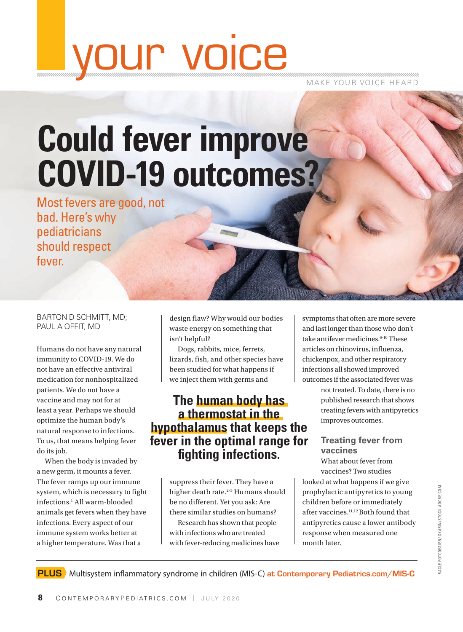# your voice

MAKE YOUR VOICE HEARD

# **Could fever improve COVID-19 outcomes?**

Most fevers are good, not bad. Here's why pediatricians should respect fever.

BARTON D SCHMITT, MD; PAUL A OFFIT, MD

Humans do not have any natural immunity to COVID-19. We do not have an effective antiviral medication for nonhospitalized patients. We do not have a vaccine and may not for at least a year. Perhaps we should optimize the human body's natural response to infections. To us, that means helping fever do its job.

When the body is invaded by a new germ, it mounts a fever. The fever ramps up our immune system, which is necessary to fight infections.1 All warm-blooded animals get fevers when they have infections. Every aspect of our immune system works better at a higher temperature. Was that a

design flaw? Why would our bodies waste energy on something that isn't helpful?

Dogs, rabbits, mice, ferrets, lizards, fish, and other species have been studied for what happens if we inject them with germs and

### **The human body has a thermostat in the hypothalamus that keeps the fever in the optimal range for fighting infections.**

suppress their fever. They have a higher death rate.<sup>2-5</sup> Humans should be no different. Yet you ask: Are there similar studies on humans? Research has shown that people with infections who are treated with fever-reducing medicines have

symptoms that often are more severe and last longer than those who don't take antifever medicines.<sup>6-10</sup> These articles on rhinovirus, influenza, chickenpox, and other respiratory infections all showed improved outcomes if the associated fever was

> not treated. To date, there is no published research that shows treating fevers with antipyretics improves outcomes.

### **Treating fever from vaccines**

What about fever from vaccines? Two studies

looked at what happens if we give prophylactic antipyretics to young children before or immediately after vaccines.11,12 Both found that antipyretics cause a lower antibody response when measured one month later.

PLUS Multisystem inflammatory syndrome in children (MIS-C) at Contemporary Pediatrics.com/MIS-C